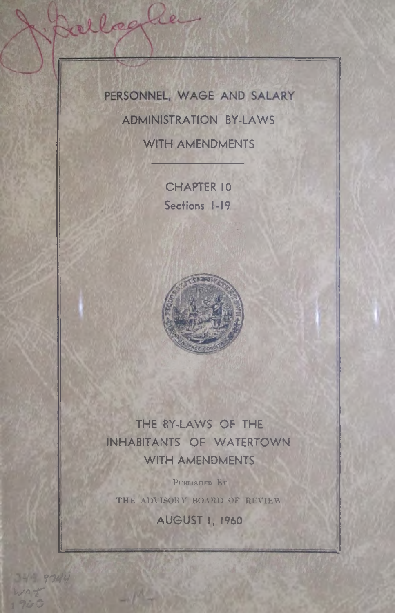PERSONNEL, WAGE AND SALARY **ADMINISTRATION BY-LAWS WITH AMENDMENTS** 

ellegle

**CHAPTER 10** Sections 1-19



THE BY-LAWS OF THE **INHABITANTS OF WATERTOWN WITH AMENDMENTS** 

PUBLISHED BY THE ADVISORY BOARD OF REVIEW

**AUGUST 1, 1960** 

349.9744

WAR T  $900$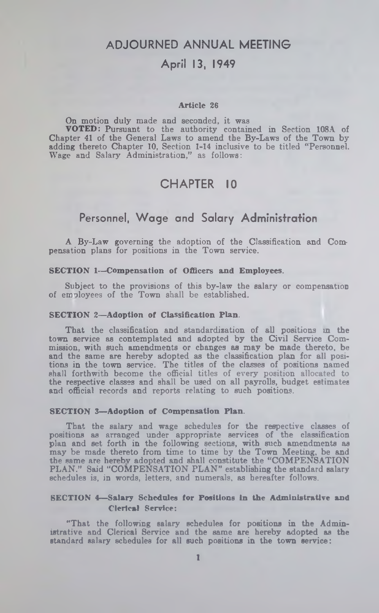### **ADJOURNED ANNUAL MEETING**

## **April 13, 1949**

#### Article 26

On motion duly made and seconded, it was VOTED: Pursuant to the authority contained in Section 108A of Chapter 41 of the General Laws to amend the By-Laws of the Town by adding thereto Chapter 10, Section 1-14 inclusive to be titled " Personnel. Wage and Salary Administration," as follows:

# **CHAPTER 10**

## **Personnel, Wage and Salary Administration**

A By-Law governing the adoption of the Classification and Compensation plans for positions in the Town service.

#### SECTION 1—Compensation of Officers and Employees.

Subject to the provisions of this by-law the salary or compensation of employees of the Town shall be established.

#### SECTION 2—Adoption of Classification Plan.

That the classification and standardization of all positions in the town service as contemplated and adopted by the Civil Service Commission, with such amendments or changes as may be made thereto, be and the same are hereby adopted as the classification plan for all positions in the town service. The titles of the classes of positions named shall forthwith become the official titles of every position allocated to the respective classes and shall be used on all payrolls, budget estimates and official records and reports relating to such positions.

#### SECTION 3—Adoption of Compensation Plan.

That the salary and wage schedules for the respective classes of positions as arranged under appropriate services of the classification plan and set forth in the following sections, with such amendments as may be made thereto from time to time by the Town Meeting, be and the same are hereby adopted and shall constitute the "COMPENSATION PLAN." Said "COMPENSATION PLAN" establishing the standard salary schedules is, in words, letters, and numerals, as hereafter follows.

#### SECTION 4—Salary Schedules for Positions in the Administrative and Clerical Service:

"That the following salary schedules for positions in the Administrative and Clerical Service and the same are hereby adopted as the standard salary schedules for all such positions in the town service: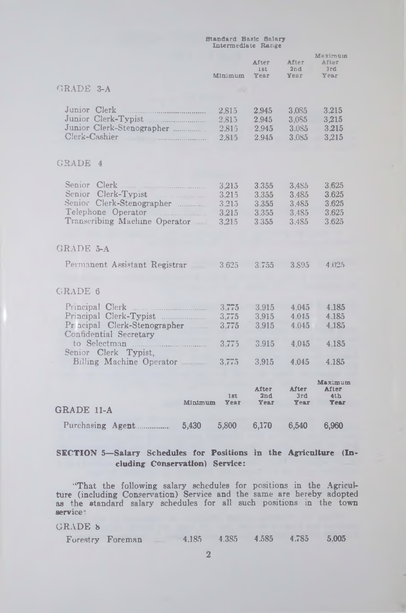|                                                                                                                         | Standard Basic Salary<br>Intermediate Range |                                           |                                              |                                           |
|-------------------------------------------------------------------------------------------------------------------------|---------------------------------------------|-------------------------------------------|----------------------------------------------|-------------------------------------------|
|                                                                                                                         | Minimum                                     | After<br>1st<br><b>Year</b>               | After<br>2nd<br><b>Year</b>                  | Maximum<br>After<br>3rd<br>Year           |
| GRADE 3-A                                                                                                               |                                             |                                           |                                              |                                           |
| Junior Clerk<br>Junior Clerk-Typist<br>Junior Clerk-Stenographer<br>Clerk-Cashier                                       | 2.815<br>2,815<br>2.815<br>2.815            | 2.945<br>2.945<br>2.945<br>2.945          | 3,085<br>3,0 <sub>S5</sub><br>3.085<br>3.085 | 3.215<br>3,215<br>3.215<br>3,215          |
| GRADE 4                                                                                                                 |                                             |                                           |                                              |                                           |
| Senior Clerk<br>Senior Clerk-Typist<br>Senior Clerk-Stenographer<br>Telephone Operator<br>Transcribing Machine Operator | 3,215<br>3.215<br>3.215<br>3.215<br>3,215   | 3.355<br>3.355<br>3.355<br>3.355<br>3.355 | 3.485<br>3.485<br>3.485<br>3.485<br>3.485    | 3.625<br>3.625<br>3.625<br>3.625<br>3.625 |
| GRADE 5-A                                                                                                               |                                             |                                           |                                              |                                           |
| Permanent Assistant Registrar                                                                                           | 3.625                                       | 3.755                                     | 3.895                                        | 4.025                                     |
| <b>GRADE 6</b>                                                                                                          |                                             |                                           |                                              |                                           |
| Principal Clerk-Typist<br>Pr neipal Clerk-Stenographer<br>Confidential Secretary                                        | 3.775<br>3,775<br>3.775                     | 3.915<br>3.915<br>3.915                   | 4.045<br>4.045<br>4.045                      | 4.185<br>4.185<br>4.185                   |
| Senior Clerk Typist,                                                                                                    | 3.775                                       | 3.915                                     | 4,045                                        | 4.185                                     |
| Billing Machine Operator                                                                                                | 3,77.5                                      | 3.915                                     | 4.045                                        | 4.185                                     |
| <b>Minimum</b><br>GRADE 11-A                                                                                            | 1st<br>Year                                 | <b>After</b><br>2nd<br>Year               | <b>After</b><br>3rd<br>Year                  | Maximum<br>After<br>4th<br><b>Year</b>    |
|                                                                                                                         | 5,800                                       | 6,170                                     | 6,540                                        | 6,960                                     |

### **SECTION 5— Salary Schedules for Positions in the Agriculture (Including Conservation) Service:**

''That the following salary schedules for positions in the Agriculture (including Conservation) Service and the same are hereby adopted as the standard salary schedules for all such positions in the town service :

### GRADE 8

| 4.385<br>Forestry<br>4.185<br>Foreman | 4.585 | 4.785 | 5,005 |
|---------------------------------------|-------|-------|-------|
|---------------------------------------|-------|-------|-------|

2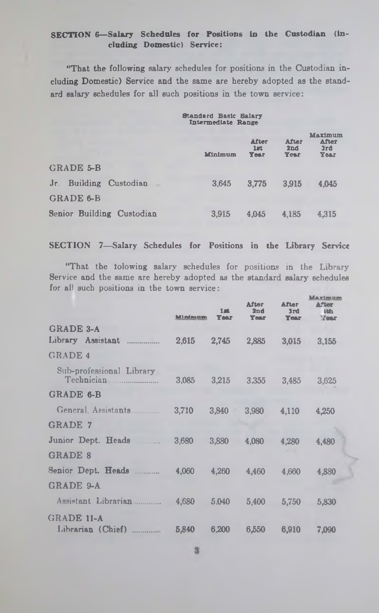#### SECTION 6—Salary Schedules for Positions in the Custodian (Including Domestic) Service:

"That the following salary schedules for positions in the Custodian including Domestic) Service and the same are hereby adopted as the standard salary schedules for all such positions in the town service:

# Standard Basic Intermediate Salary Range

|                           | Minimum | <b>After</b><br>1st<br>Year | After<br>2nd<br><b>Year</b> | Maximum<br>After<br>3rd<br>Year |
|---------------------------|---------|-----------------------------|-----------------------------|---------------------------------|
| GRADE 5-B                 |         |                             |                             |                                 |
| Jr. Building Custodian    | 3.645   | 3.775                       | 3.915                       | 4.045                           |
| <b>GRADE 6-B</b>          |         |                             |                             |                                 |
| Senior Building Custodian | 3.915   | 4.045                       | 4.185                       | 4.315                           |

#### SECTION 7— Salary Schedules for Positions in the Library Service

"That the tolowing salary schedules for positions in the Library Service and the same are hereby adopted as the standard salary schedules for all such positions in the town service:

|                                        | Mindmum | $1 - 1$<br><b>Year</b> | <b>After</b><br>2 <sub>nd</sub><br><b>Year</b> | <b>After</b><br>3rd<br><b>Year</b> | Maximum<br><b>After</b><br><b>Ith</b><br><b>Zear</b> |
|----------------------------------------|---------|------------------------|------------------------------------------------|------------------------------------|------------------------------------------------------|
| <b>GRADE 3-A</b>                       |         |                        |                                                |                                    |                                                      |
| Library Assistant                      | 2,615   | 2,745                  | 2,885                                          | 3,015                              | 3,155                                                |
| <b>GRADE 4</b>                         |         |                        |                                                |                                    |                                                      |
| Sub-professional Library<br>Technician | 3,085   | 3,215                  | 3.355                                          | 3,485                              | 3,625                                                |
| GRADE 6-B                              |         |                        |                                                |                                    |                                                      |
| General Assistants                     | 3,710   | 3,840                  | 3,980                                          | 4,110                              | 4.250                                                |
| <b>GRADE 7</b>                         |         |                        |                                                |                                    |                                                      |
| Junior Dept. Heads                     | 3,680   | 3,880                  | 4.080                                          | 4.280                              | 4,480                                                |
| <b>GRADE 8</b>                         |         |                        |                                                |                                    |                                                      |
| Senior Dept. Heads                     | 4,060   | 4,260                  | 4,460                                          | 4.660                              | 4,880                                                |
| <b>GRADE 9-A</b>                       |         |                        |                                                |                                    |                                                      |
| Assistant Librarian                    | 4,680   | 5,040                  | 5,400                                          | 5,750                              | 5.830                                                |
| GRADE 11-A                             |         |                        |                                                |                                    |                                                      |
| Librarian (Chief)                      | 5,840   | 6.200                  | 6,550                                          | 6,910                              | 7.090                                                |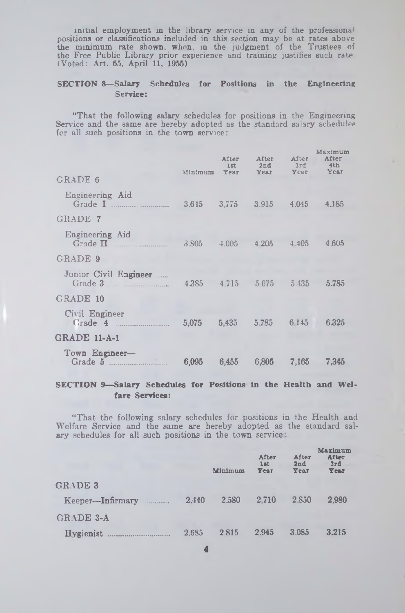initial employment in the library service in any of the professional positions or classifications included in this section may be at rates above the minimum rate shown, when, in the judgment of the Trustees of the Free Public Library prior experience and training justifies such rate. (V oted : Art. 65. April 11, 1955)

#### **SECTION 8— Salary Schedules for Positions in the Engineering Service:**

"That the following salary schedules for positions in the Engineering Service and the same are hereby adopted as the standard salary schedules for all such positions in the town service:

| GRADE 6                     | Minimum         | After<br>1st<br>Year | After<br>2nd<br>Year    | After<br>3rd<br>Year | Maximum<br>After<br>4 <sub>th</sub><br>Year |
|-----------------------------|-----------------|----------------------|-------------------------|----------------------|---------------------------------------------|
| Engineering Aid             |                 |                      |                         |                      |                                             |
|                             |                 |                      | 3.645 3.775 3.915 4.045 |                      | 4,185                                       |
| GRADE 7                     |                 |                      |                         |                      |                                             |
| Engineering Aid<br>Grade II | 3.S05           | $4.005 -$            | 4.205                   | 4.405                | 4.605                                       |
| GRADE 9                     |                 |                      |                         |                      |                                             |
| Junior Civil Engineer       |                 |                      |                         |                      | 5.785                                       |
| GRADE 10                    |                 |                      |                         |                      |                                             |
| Civil Engineer<br>Grade 4   | $5.075$ $5.435$ |                      | 5,785                   | 6 1 4 5              | 6.325                                       |
| <b>GRADE 11-A-1</b>         |                 |                      |                         |                      |                                             |
| Town Engineer-<br>Grade 5   | 6.095           | 6.455                | 6,805                   | 7.165                | 7,345                                       |
|                             |                 |                      |                         |                      |                                             |

### **SECTION 9— Salary Schedules for Positions in the Health and W ei fare Services:**

"That the following salary schedules for positions in the Health and Welfare Service and the same are hereby adopted as the standard salary schedules for all such positions in the town service.

|                  |       | Minimum | <b>After</b><br><b>lst</b><br><b>Year</b> | After<br>2nd<br>Year | Maximum<br><b>After</b><br>3rd<br>Year |
|------------------|-------|---------|-------------------------------------------|----------------------|----------------------------------------|
| <b>GRADE 3</b>   |       |         |                                           |                      |                                        |
| Keeper-Infirmary | 2.440 | 2.580   | 2.710                                     | 2.850                | 2.980                                  |
| <b>GRADE 3-A</b> |       |         |                                           |                      |                                        |
| Hygienist<br>    | 2.685 | 2.815   | 2.945                                     | 3.085                | 3.215                                  |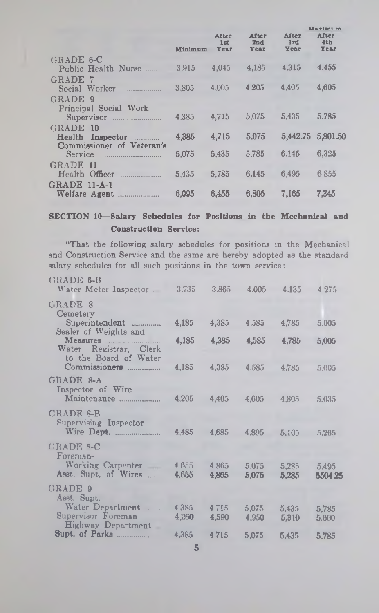|                           |         |                      |                             |                      | Marimum                     |
|---------------------------|---------|----------------------|-----------------------------|----------------------|-----------------------------|
|                           | Minimum | After<br>1st<br>Year | After<br>2nd<br><b>Year</b> | After<br>3rd<br>Year | After<br>4th<br><b>Year</b> |
| $GRADE$ 6- $C$            |         |                      |                             |                      |                             |
| Public Health Nurse       | 3.915   | 4.045                | 4.185                       | 4.315                | 4.455                       |
| GRADE 7                   |         |                      |                             |                      |                             |
| Social Worker             | 3.805   | 4.005                | 4.205                       | 4.405                | 4,605                       |
| GRADE 9                   |         |                      |                             |                      |                             |
| Principal Social Work     |         |                      |                             |                      |                             |
| Supervisor                | 4.385   | 4.715                | 5.075                       | 5,435                | 5.785                       |
| GRADE 10                  |         |                      |                             |                      |                             |
| Health Inspector          | 4.385   | 4,715                | 5.075                       | 5.442.75 5.801.50    |                             |
| Commissioner of Veteran's |         |                      |                             |                      |                             |
| Service                   | 5,075   | 5,435                | 5.785                       | 6.145                | 6,325                       |
| GRADE 11                  |         |                      |                             |                      |                             |
| Health Officer            | 5.435   | 5.785                | 6.145                       | 6.495                | 6.855                       |
| $GRADE$ 11-A-1            |         |                      |                             |                      |                             |
| Welfare Agent             | 6,095   | 6,455                | 6.805                       | 7.165                | 7.345                       |
|                           |         |                      |                             |                      |                             |

## SECTION 10—Salary Schedules for Positions in the Mechanical and Construction Service:

"That the following salary schedules for positions in the Mechanical and Construction Service and the same are hereby adopted as the standard salary schedules for all such positions in the town service:

| GRADE 6-B<br>Water Meter Inspector 3.735                     |                | 3,865          | 4.005          | 4.135          | 4.275            |
|--------------------------------------------------------------|----------------|----------------|----------------|----------------|------------------|
| GRADE 8<br>Cemetery                                          |                |                |                |                |                  |
| Superintendent<br>Sealer of Weights and                      | 4,185          | 4,385          | 4.585          | 4,785          | 5.005            |
| Water Registrar, Clerk<br>to the Board of Water              | 4,185          | 4,385          | 4,585          | 4,785          | 5,005            |
| Commissioner                                                 | 4,185          | 4.385          | 4,585          | 4,785          | 5.005            |
| GRADE 8-A<br>Inspector of Wire<br>Maintenance                | 4,205          | 4.405          | 4,605          | 4.805          | 5.035            |
| <b>GRADE 8-B</b><br>Supervising Inspector<br>Wire Dept.      | 4,485          | 4,685          | 4,895          | 5.105          | 5,265            |
| GRADE 8-C<br>Foreman-                                        |                |                |                |                |                  |
| Working Carpenter<br>Asst. Supt. of Wires                    | 4.655<br>4,655 | 4.865<br>4,865 | 5.075<br>5,075 | 5.285<br>5.285 | 5.495<br>5504.25 |
| GRADE 9<br>Asst. Supt.                                       |                |                |                |                |                  |
| Water Department<br>Supervisor Foreman<br>Highway Department | 4.385<br>4.260 | 4.715<br>4.590 | 5.075<br>4,950 | 5.435<br>5,310 | 5,785<br>5,660   |
| <b>Supt. of Parks </b>                                       | 4.385          | 4.715          | 5.075          | 5.435          | 5.785            |
|                                                              |                |                |                |                |                  |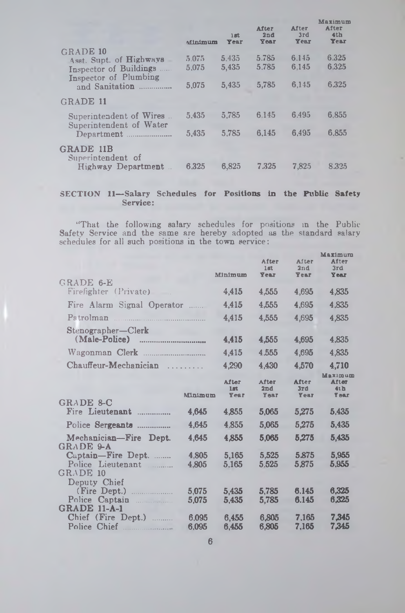|                                                                                                                       | Minimum                 | 15 <sub>1</sub><br>Year | <b>After</b><br>2nd<br>Year | <b>After</b><br>3rd<br>Year | лан экпин<br>After<br>4th<br>Year |
|-----------------------------------------------------------------------------------------------------------------------|-------------------------|-------------------------|-----------------------------|-----------------------------|-----------------------------------|
| GRADE 10<br>Asst. Supt. of Highways<br>Inspector of Buildings<br>1.1.1.1.1<br>Inspector of Plumbing<br>and Sanitation | 5.075<br>5.075<br>5.075 | 5.435<br>5.435<br>5.435 | 5.785<br>5.785<br>5.785     | 6.145<br>6.145<br>6.145     | 6.325<br>6.325<br>6.325           |
| <b>GRADE 11</b>                                                                                                       |                         |                         |                             |                             |                                   |
| Superintendent of Wires<br>Superintendent of Water                                                                    | 5.435                   | 5.785                   | 6.145                       | 6.495                       | 6,855                             |
| Department                                                                                                            | 5.435                   | 5,785                   | 6.145                       | 6.495                       | 6,855                             |
| <b>GRADE 11B</b><br>Superintendent of<br>Highway Department                                                           | 6.325                   | 6,825                   | 7.325                       | 7,825                       | 8.325                             |
|                                                                                                                       |                         |                         |                             |                             |                                   |

### SECTION 11-Salary Schedules for Positions in the Public Safety Service:

"That the following salary schedules for positions in the Public Safety Service and the same are hereby adopted as the standard salary schedules for all such positions in the town service:

|                                            |                |                      | After                 | After                       | Maximura<br>After                             |
|--------------------------------------------|----------------|----------------------|-----------------------|-----------------------------|-----------------------------------------------|
|                                            |                | Minimum              | $1$ at<br><b>Year</b> | 2nd                         | 3rd                                           |
| GRADE 6-E                                  |                |                      |                       | <b>Year</b>                 | Year                                          |
| Firefighter (Private)                      |                | 4,415                | 4,555                 | 4,695                       | 4,835                                         |
| Fire Alarm Signal Operator                 |                | 4,415                | 4.555                 | 4.695                       | 4.835                                         |
| Patrolman                                  |                | 4,415                | 4,555                 | 4,695                       | 4,835                                         |
| Stenographer-Clerk                         |                |                      |                       |                             |                                               |
| (Male-Police)                              |                | 4,415                | 4,555                 | 4,695                       | 4.835                                         |
|                                            |                | 4.415                | 4.555                 | 4,695                       | 4.835                                         |
| Chauffeur-Mechanician                      |                | 4,290                | 4,430                 | 4,570                       | 4,710                                         |
|                                            | <b>Minimum</b> | After<br>lat<br>Year | After<br>2nd<br>Year  | After<br>3rd<br><b>Year</b> | <b>Maximum</b><br>After<br>41b<br><b>Year</b> |
| <b>GRADE &amp;C</b>                        |                |                      |                       |                             |                                               |
| Fire Lieutenant<br>.                       | 4.645          | 4,855                | 5,065                 | 5,275                       | 5.435                                         |
| Police Sergeants                           | 4,645          | 4.855                | 5,065                 | 5,275                       | 5,435                                         |
| Mechanician-Fire Dept.<br><b>GRADE 9-A</b> | 4,645          | 4.855                | 5,065                 | 5,275                       | 5,435                                         |
| Captain-Fire Dept.<br>Police Lieutenant    | 4.805<br>4.805 | 5,165<br>5.165       | 5,525<br>5.525        | 5.875<br>5.875              | 5.955<br>5.955                                |
| <b>GRADE 10</b><br>Deputy Chief            |                |                      |                       |                             |                                               |
| (Fire Dept.)                               | 5.075          | 5,435                | 5.785                 | 6.145                       | 6,325                                         |
| Police<br>Captain<br><b>GRADE 11-A-1</b>   | 5,075          | 5.435                | 5,785                 | 6.145                       | 6.325                                         |
| Chief (Fire Dept.)                         | 6.095          | 6.455                | 6.805                 | 7.165                       | 7,345                                         |
| Police Chief                               | 6.095          | 6.455                | 6.805                 | 7.165                       | 7,345                                         |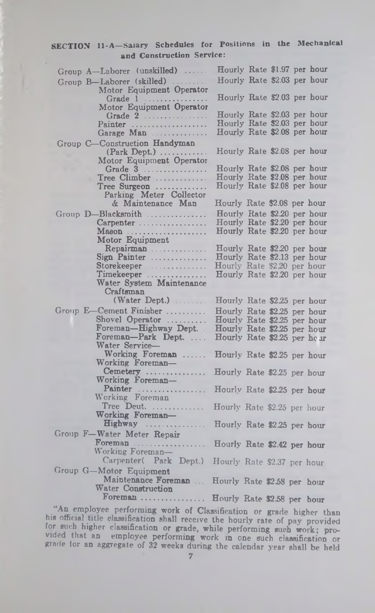### SECTION 11-A—Salary Schedules for Positions in the Mechanical and Construction Service:

| Group A-Laborer (unskilled)                | Hourly Rate \$1.97 per hour                                |
|--------------------------------------------|------------------------------------------------------------|
| Group B-Laborer (skilled)                  | Hourly Rate \$2.03 per hour                                |
| Motor Equipment Operator                   |                                                            |
| Grade 1                                    | Hourly Rate \$2.03 per hour                                |
| Motor Equipment Operator<br>Grade 2        | Hourly Rate \$2.03 per hour                                |
| Painter                                    | Hourly Rate \$2.03 per hour                                |
| Garage Man                                 | Hourly Rate \$2.08 per hour                                |
| Group C-Construction Handyman              |                                                            |
| $(Park \nDepth.) \n \n$                    | Hourly Rate \$2.08 per hour                                |
| Motor Equipment Operator<br>Grade 3        | Hourly Rate \$2.08 per hour                                |
| $Tree$ Climber $\dots\dots\dots\dots$      | Hourly Rate \$2.08 per hour                                |
| Tree Surgeon                               | Hourly Rate \$2.08 per hour                                |
| Parking Meter Collector                    |                                                            |
| & Maintenance Man                          | Hourly Rate \$2.08 per hour                                |
| Group D-Blacksmith                         | Hourly Rate \$2.20 per hour                                |
| Carpenter                                  | Hourly Rate \$2.20 per hour<br>Hourly Rate \$2.20 per hour |
| Motor Equipment                            |                                                            |
| Repairman                                  | Hourly Rate \$2.20 per hour                                |
| Sign Painter                               | Hourly Rate \$2.13 per hour                                |
| Storekeeper                                | Hourly Rate \$2.20 per hour                                |
| Timekeeper<br>Water System Maintenance     | Hourly Rate \$2.20 per hour                                |
| Craftsman                                  |                                                            |
| (Water Dept.)                              | Hourly Rate \$2.25 per hour                                |
| Group E-Cement Finisher                    | Hourly Rate \$2.25 per hour                                |
| Shovel Operator                            | Hourly Rate \$2.25 per hour                                |
| Foreman-Highway Dept.<br>Foreman-Park Dept | Hourly Rate \$2.25 per hour                                |
| Water Service-                             | Hourly Rate \$2.25 per hour                                |
| Working Foreman                            | Hourly Rate \$2.25 per hour                                |
| Working Foreman-                           |                                                            |
| Cemetery                                   | Hourly Rate \$2.25 per hour                                |
| Working Foreman-<br>Painter                |                                                            |
| Working Foreman                            | Hourly Rate \$2.25 per hour                                |
| Tree Deut.                                 | Hourly Rate \$2.25 per hour                                |
| Working Foreman-                           |                                                            |
| $Highway$                                  | Hourly Rate \$2.25 per hour                                |
| Group F-Water Meter Repair                 |                                                            |
| Foreman<br>Working Foreman-                | Hourly Rate \$2.42 per hour                                |
| Carpenter( Park Dept.)                     | Hourly Rate \$2.37 per hour                                |
| Group G-Motor Equipment                    |                                                            |
| Maintenance Foreman                        | Hourly Rate \$2.58 per hour                                |
| Water Construction                         |                                                            |
| Foreman                                    | Hourly Rate \$2.58 per hour                                |

. An employee performing work of Classification or grade higher than his official title classification shall receive the hourly rate of pay provided for such higher classification or grade, while performing such work; provided that an employee performing work in one such classification or grade lor an aggregate of 32 weeks during the calendar year shall be held

7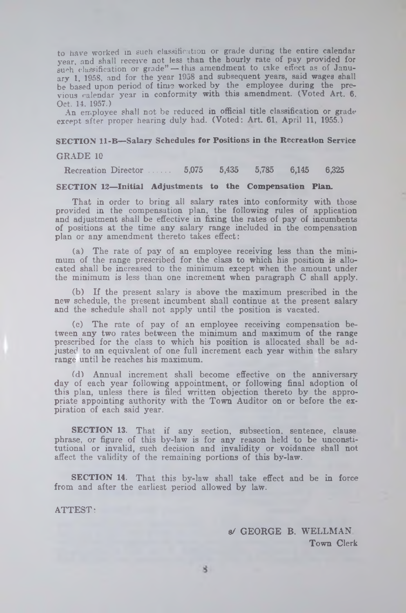to have worked in such classification or grade during the entire calendar year, and shall receive not less than the hourly rate of pay provided for  $such$  classification or grade" — this amendment to take effect as of January 1, 1958, and for the year 1958 and subsequent years, said wages shall be based upon period of time worked by the employee during the previous calendar year in conformity with this amendment. (Voted Art. 6. Oct. 14. 1957.)

An employee shall not be reduced in official title classification or grade except after proper hearing duly had. (Voted: Art. 61, April 11, 1955.)

#### **SECTION 11-B-Salary Schedules for Positions in the Recreation Service**

#### GRADE 10

Recreation Director......... 5,075 5,435 5,785 6,145 6,325

#### **SECTION 12— Initial Adjustments to the Compensation Plan.**

That in order to bring all salary rates into conformity with those provided in the compensation plan, the following rules of application and adjustment shall be effective in fixing the rates of pay of incumbents of positions at the time any salary range included in the compensation plan or any amendment thereto takes effect:

(a) The rate of pay of an employee receiving less than the minimum of the range prescribed for the class to which his position is allocated shall be increased to the minimum except when the amount under the minimum is less than one increment when paragraph C shall apply.

(b) If the present salary is above the maximum prescribed in the new schedule, the present incumbent shall continue at the present salary and the schedule shall not apply until the position is vacated.

(c) The rate of pay of an employee receiving compensation between any two rates between the minimum and maximum of the range prescribed for the class to which his position is allocated shall be adjusted to an equivalent of one full increment each year within the salary range until he reaches his maximum.

(d) Annual increment shall become effective on the anniversary' day of each year following appointment, or following final adoption of this plan, unless there is filed written objection thereto by the appropriate appointing authority with the Town Auditor on or before the expiration of each said year.

SECTION 13. That if any section, subsection, sentence, clause phrase, or figure of this by-law is for any reason held to be unconstitutional or invalid, such decision and invalidity or voidance shall not affect the validity of the remaining portions of this by-law.

SECTION 14. That this by-law shall take effect and be in force from and after the earliest period allowed by law.

ATTEST:

s/ GEORGE B. WELLMAN Town Clerk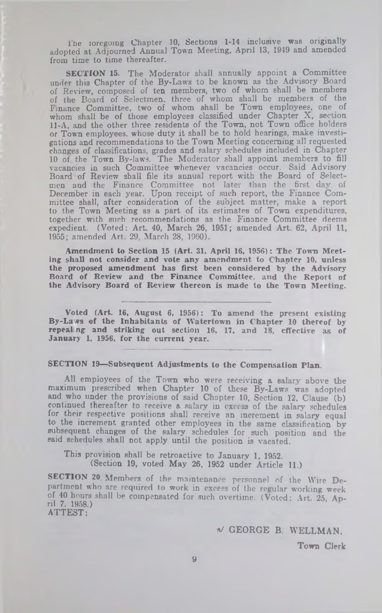The loregoing Chapter 10, Sections 1-14 inclusive was originally adopted at Adjourned Annual Town Meeting, April 13, 1919 and amended from time to time thereafter.

SECTION 15. The Moderator shall annually appoint a Committee under this Chapter of the By-Laws to be known as the Advisory Board of Review, composed of ten members, two of whom shall be members of the Board of Selectmen, three of whom shall be members of the Finance Committee, two of whom shall be Town employees, one of whom shall be of those employees classified under Chapter  $X$ , section 11-A, and the other three residents of the Town, not Town office holders or Town employees, whose duty it shall be to hold hearings, make investigations and recommendations to the Town Meeting concerning all requested changes of classifications, grades and salary schedules included in Chapter 10 of the Town By-laws. The Moderator shall appoint members to fill vacancies in such Committee whenever vacancies occur. Said Advisory Board of Review shall file its annual report with the Board of Selectmen and the Finance Committee not later than the first day of December in each year. Upon receipt of such report, the Finance Committee shall, after consideration of the subject matter, make a report to the Town Meeting as a part of its estimates of Town expenditures, together with such recommendations as the Finance Committee deems expedient. (Voted: Art. 40, March 26, 1951; amended Art. 62, April 11, 1955; amended Art, 29, March 28, I960).

Amendment to Section 15 (Art. 31, April 16, 1956): The Town Meeting shall not consider and vote any amendment to Chapter 10, unless the proposed amendment has first been considered by the Advisory Board of Review and the Finance Committee, and the Report of the Advisory Board of Review thereon is made to the Town Meeting.

Voted (Art. 16, August 6, 1956): To amend the present existing By-Lavs of the Inhabitants of Watertown in Chapter 10 thereof by repeal ng and striking out section 16, 17, and 18, effective as of January 1, 1956, for the current year.

### SECTION 19—Subsequent Adjustments to the Compensation Plan.

All employees of the Town who were receiving a salary above the maximum prescribed when Chapter 10 of these By-Laws was adopted and who under the provisions of said Chapter 10, Section 12, Clause (b) continued thereafter to receive a salary in excess of the salary schedules for their respective positions shall receive an increment in salary equal to the increment granted other employees in the same classification by subsequent changes of the salary schedules for such position and the said schedules shall not apply until the position is vacated.

This provision shall be retroactive to January 1, 1952. (Section 19, voted May 26, 1952 under Article 11.)

SECTION 20. Members of the maintenance personnel of the Wire Department who are required to work in excess of the regular working week of 40 hours shall be compensated for such overtime. (Voted: Art. 25, Ap-<br>ril 7, 1958.) ATTEST:

s/ GEORGE B WELLMAN,

Town Clerk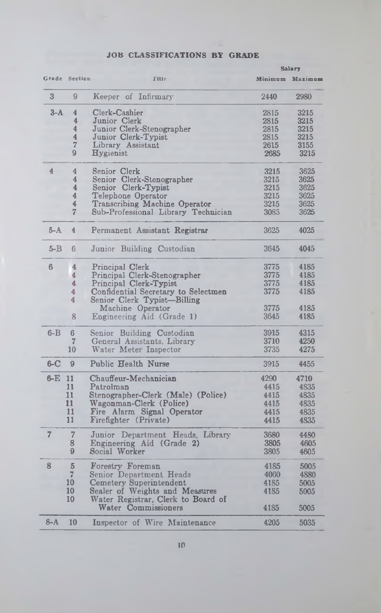### JOB CLASSIFICATIONS BY GRADE

| Grade Section<br><b>Title</b><br>Minimum Maximum<br>3<br>9<br>Keeper of Infirmary<br>2980<br>2440<br>$3-A$<br>$\overline{4}$<br>Clerk-Cashier<br>2815<br>3215<br>$\overline{4}$<br>Junior Clerk<br>2815<br>3215<br>$\overline{4}$<br>Junior Clerk-Stenographer<br>2815<br>3215<br>4<br>Junior Clerk-Typist<br>2815<br>3215<br>7<br>Library Assistant<br>2615<br>3155<br>9<br>Hygienist<br>2685<br>3215<br>$\overline{4}$<br>4<br>Senior Clerk<br>3625<br>3215<br>$\overline{4}$<br>Senior Clerk-Stenographer<br>3215<br>3625<br>4<br>Senior Clerk-Typist<br>3625<br>3215<br>$\overline{4}$<br>Telephone Operator<br>3215<br>3625<br>4<br>Transcribing Machine Operator<br>3215<br>3625<br>7<br>Sub-Professional Library Technician<br>3625<br>3085<br>$5 - A$<br>$\overline{4}$<br>4025<br>Permanent Assistant Registrar<br>3625<br>$5 - B$<br>Junior Building Custodian<br>3645<br>4045<br>6<br>6<br>3775<br>4185<br>4<br>Principal Clerk<br>$\overline{4}$<br>3775<br>Principal Clerk-Stenographer<br>4185<br>4<br>3775<br>4185<br>Principal Clerk-Typist<br>4<br>3775<br>Confidential Secretary to Selectmen<br>4185<br>4<br>Senior Clerk Typist-Billing<br>Machine Operator<br>3775<br>4185<br>8<br>3645<br>4185<br>Engineering Aid (Grade 1)<br>$6 - B$<br>3915<br>4315<br>6<br>Senior Building Custodian<br>$\overline{7}$<br>3710<br>4250<br>General Assistants, Library<br>3735<br>10<br>Water Meter Inspector<br>4275<br>$6-C$<br>Public Health Nurse<br>$\boldsymbol{9}$<br>3915<br>4455<br>6-E<br>11<br>Chauffeur-Mechanician<br>4710<br>4290<br>11<br>Patrolman<br>4415<br>4835<br>11<br>Stenographer-Clerk (Male) (Police)<br>4415<br>4835<br>11<br>Wagonman-Clerk (Police)<br>4835<br>4415<br>11<br>Fire Alarm Signal Operator<br>4835<br>4415<br>11<br>Firefighter (Private)<br>4415<br>4835<br>$\overline{7}$<br>$\overline{7}$<br>Junior Department Heads, Library<br>3680<br>4480<br>8<br>3805<br>Engineering Aid (Grade 2)<br>4605<br>9<br>Social Worker<br>3805<br>4605<br>8<br>5<br>Forestry Foreman<br>4185<br>5005<br>$\overline{7}$<br>Senior Department Heads<br>4060<br>4880<br>10<br>Cemetery Superintendent<br>Sealer of Weights and Measures<br>4185<br>5005<br>10<br>4185<br>5005<br>10<br>Water Registrar, Clerk to Board of<br>Water Commissioners<br>4185<br>5005<br>$8-A$<br>10<br>Inspector of Wire Maintenance<br>4205<br>5035 |  |  |  | <b>Salary</b> |
|--------------------------------------------------------------------------------------------------------------------------------------------------------------------------------------------------------------------------------------------------------------------------------------------------------------------------------------------------------------------------------------------------------------------------------------------------------------------------------------------------------------------------------------------------------------------------------------------------------------------------------------------------------------------------------------------------------------------------------------------------------------------------------------------------------------------------------------------------------------------------------------------------------------------------------------------------------------------------------------------------------------------------------------------------------------------------------------------------------------------------------------------------------------------------------------------------------------------------------------------------------------------------------------------------------------------------------------------------------------------------------------------------------------------------------------------------------------------------------------------------------------------------------------------------------------------------------------------------------------------------------------------------------------------------------------------------------------------------------------------------------------------------------------------------------------------------------------------------------------------------------------------------------------------------------------------------------------------------------------------------------------------------------------------------------------------------------------------------------------------------------------------------------------------------------------------------------------------------------------------------------------------------------------------------------------------------------------------------------------------|--|--|--|---------------|
|                                                                                                                                                                                                                                                                                                                                                                                                                                                                                                                                                                                                                                                                                                                                                                                                                                                                                                                                                                                                                                                                                                                                                                                                                                                                                                                                                                                                                                                                                                                                                                                                                                                                                                                                                                                                                                                                                                                                                                                                                                                                                                                                                                                                                                                                                                                                                                    |  |  |  |               |
|                                                                                                                                                                                                                                                                                                                                                                                                                                                                                                                                                                                                                                                                                                                                                                                                                                                                                                                                                                                                                                                                                                                                                                                                                                                                                                                                                                                                                                                                                                                                                                                                                                                                                                                                                                                                                                                                                                                                                                                                                                                                                                                                                                                                                                                                                                                                                                    |  |  |  |               |
|                                                                                                                                                                                                                                                                                                                                                                                                                                                                                                                                                                                                                                                                                                                                                                                                                                                                                                                                                                                                                                                                                                                                                                                                                                                                                                                                                                                                                                                                                                                                                                                                                                                                                                                                                                                                                                                                                                                                                                                                                                                                                                                                                                                                                                                                                                                                                                    |  |  |  |               |
|                                                                                                                                                                                                                                                                                                                                                                                                                                                                                                                                                                                                                                                                                                                                                                                                                                                                                                                                                                                                                                                                                                                                                                                                                                                                                                                                                                                                                                                                                                                                                                                                                                                                                                                                                                                                                                                                                                                                                                                                                                                                                                                                                                                                                                                                                                                                                                    |  |  |  |               |
|                                                                                                                                                                                                                                                                                                                                                                                                                                                                                                                                                                                                                                                                                                                                                                                                                                                                                                                                                                                                                                                                                                                                                                                                                                                                                                                                                                                                                                                                                                                                                                                                                                                                                                                                                                                                                                                                                                                                                                                                                                                                                                                                                                                                                                                                                                                                                                    |  |  |  |               |
|                                                                                                                                                                                                                                                                                                                                                                                                                                                                                                                                                                                                                                                                                                                                                                                                                                                                                                                                                                                                                                                                                                                                                                                                                                                                                                                                                                                                                                                                                                                                                                                                                                                                                                                                                                                                                                                                                                                                                                                                                                                                                                                                                                                                                                                                                                                                                                    |  |  |  |               |
|                                                                                                                                                                                                                                                                                                                                                                                                                                                                                                                                                                                                                                                                                                                                                                                                                                                                                                                                                                                                                                                                                                                                                                                                                                                                                                                                                                                                                                                                                                                                                                                                                                                                                                                                                                                                                                                                                                                                                                                                                                                                                                                                                                                                                                                                                                                                                                    |  |  |  |               |
|                                                                                                                                                                                                                                                                                                                                                                                                                                                                                                                                                                                                                                                                                                                                                                                                                                                                                                                                                                                                                                                                                                                                                                                                                                                                                                                                                                                                                                                                                                                                                                                                                                                                                                                                                                                                                                                                                                                                                                                                                                                                                                                                                                                                                                                                                                                                                                    |  |  |  |               |
|                                                                                                                                                                                                                                                                                                                                                                                                                                                                                                                                                                                                                                                                                                                                                                                                                                                                                                                                                                                                                                                                                                                                                                                                                                                                                                                                                                                                                                                                                                                                                                                                                                                                                                                                                                                                                                                                                                                                                                                                                                                                                                                                                                                                                                                                                                                                                                    |  |  |  |               |
|                                                                                                                                                                                                                                                                                                                                                                                                                                                                                                                                                                                                                                                                                                                                                                                                                                                                                                                                                                                                                                                                                                                                                                                                                                                                                                                                                                                                                                                                                                                                                                                                                                                                                                                                                                                                                                                                                                                                                                                                                                                                                                                                                                                                                                                                                                                                                                    |  |  |  |               |
|                                                                                                                                                                                                                                                                                                                                                                                                                                                                                                                                                                                                                                                                                                                                                                                                                                                                                                                                                                                                                                                                                                                                                                                                                                                                                                                                                                                                                                                                                                                                                                                                                                                                                                                                                                                                                                                                                                                                                                                                                                                                                                                                                                                                                                                                                                                                                                    |  |  |  |               |
|                                                                                                                                                                                                                                                                                                                                                                                                                                                                                                                                                                                                                                                                                                                                                                                                                                                                                                                                                                                                                                                                                                                                                                                                                                                                                                                                                                                                                                                                                                                                                                                                                                                                                                                                                                                                                                                                                                                                                                                                                                                                                                                                                                                                                                                                                                                                                                    |  |  |  |               |
|                                                                                                                                                                                                                                                                                                                                                                                                                                                                                                                                                                                                                                                                                                                                                                                                                                                                                                                                                                                                                                                                                                                                                                                                                                                                                                                                                                                                                                                                                                                                                                                                                                                                                                                                                                                                                                                                                                                                                                                                                                                                                                                                                                                                                                                                                                                                                                    |  |  |  |               |
|                                                                                                                                                                                                                                                                                                                                                                                                                                                                                                                                                                                                                                                                                                                                                                                                                                                                                                                                                                                                                                                                                                                                                                                                                                                                                                                                                                                                                                                                                                                                                                                                                                                                                                                                                                                                                                                                                                                                                                                                                                                                                                                                                                                                                                                                                                                                                                    |  |  |  |               |
|                                                                                                                                                                                                                                                                                                                                                                                                                                                                                                                                                                                                                                                                                                                                                                                                                                                                                                                                                                                                                                                                                                                                                                                                                                                                                                                                                                                                                                                                                                                                                                                                                                                                                                                                                                                                                                                                                                                                                                                                                                                                                                                                                                                                                                                                                                                                                                    |  |  |  |               |
|                                                                                                                                                                                                                                                                                                                                                                                                                                                                                                                                                                                                                                                                                                                                                                                                                                                                                                                                                                                                                                                                                                                                                                                                                                                                                                                                                                                                                                                                                                                                                                                                                                                                                                                                                                                                                                                                                                                                                                                                                                                                                                                                                                                                                                                                                                                                                                    |  |  |  |               |
|                                                                                                                                                                                                                                                                                                                                                                                                                                                                                                                                                                                                                                                                                                                                                                                                                                                                                                                                                                                                                                                                                                                                                                                                                                                                                                                                                                                                                                                                                                                                                                                                                                                                                                                                                                                                                                                                                                                                                                                                                                                                                                                                                                                                                                                                                                                                                                    |  |  |  |               |
|                                                                                                                                                                                                                                                                                                                                                                                                                                                                                                                                                                                                                                                                                                                                                                                                                                                                                                                                                                                                                                                                                                                                                                                                                                                                                                                                                                                                                                                                                                                                                                                                                                                                                                                                                                                                                                                                                                                                                                                                                                                                                                                                                                                                                                                                                                                                                                    |  |  |  |               |
|                                                                                                                                                                                                                                                                                                                                                                                                                                                                                                                                                                                                                                                                                                                                                                                                                                                                                                                                                                                                                                                                                                                                                                                                                                                                                                                                                                                                                                                                                                                                                                                                                                                                                                                                                                                                                                                                                                                                                                                                                                                                                                                                                                                                                                                                                                                                                                    |  |  |  |               |
|                                                                                                                                                                                                                                                                                                                                                                                                                                                                                                                                                                                                                                                                                                                                                                                                                                                                                                                                                                                                                                                                                                                                                                                                                                                                                                                                                                                                                                                                                                                                                                                                                                                                                                                                                                                                                                                                                                                                                                                                                                                                                                                                                                                                                                                                                                                                                                    |  |  |  |               |
|                                                                                                                                                                                                                                                                                                                                                                                                                                                                                                                                                                                                                                                                                                                                                                                                                                                                                                                                                                                                                                                                                                                                                                                                                                                                                                                                                                                                                                                                                                                                                                                                                                                                                                                                                                                                                                                                                                                                                                                                                                                                                                                                                                                                                                                                                                                                                                    |  |  |  |               |
|                                                                                                                                                                                                                                                                                                                                                                                                                                                                                                                                                                                                                                                                                                                                                                                                                                                                                                                                                                                                                                                                                                                                                                                                                                                                                                                                                                                                                                                                                                                                                                                                                                                                                                                                                                                                                                                                                                                                                                                                                                                                                                                                                                                                                                                                                                                                                                    |  |  |  |               |
|                                                                                                                                                                                                                                                                                                                                                                                                                                                                                                                                                                                                                                                                                                                                                                                                                                                                                                                                                                                                                                                                                                                                                                                                                                                                                                                                                                                                                                                                                                                                                                                                                                                                                                                                                                                                                                                                                                                                                                                                                                                                                                                                                                                                                                                                                                                                                                    |  |  |  |               |
|                                                                                                                                                                                                                                                                                                                                                                                                                                                                                                                                                                                                                                                                                                                                                                                                                                                                                                                                                                                                                                                                                                                                                                                                                                                                                                                                                                                                                                                                                                                                                                                                                                                                                                                                                                                                                                                                                                                                                                                                                                                                                                                                                                                                                                                                                                                                                                    |  |  |  |               |
|                                                                                                                                                                                                                                                                                                                                                                                                                                                                                                                                                                                                                                                                                                                                                                                                                                                                                                                                                                                                                                                                                                                                                                                                                                                                                                                                                                                                                                                                                                                                                                                                                                                                                                                                                                                                                                                                                                                                                                                                                                                                                                                                                                                                                                                                                                                                                                    |  |  |  |               |
|                                                                                                                                                                                                                                                                                                                                                                                                                                                                                                                                                                                                                                                                                                                                                                                                                                                                                                                                                                                                                                                                                                                                                                                                                                                                                                                                                                                                                                                                                                                                                                                                                                                                                                                                                                                                                                                                                                                                                                                                                                                                                                                                                                                                                                                                                                                                                                    |  |  |  |               |
|                                                                                                                                                                                                                                                                                                                                                                                                                                                                                                                                                                                                                                                                                                                                                                                                                                                                                                                                                                                                                                                                                                                                                                                                                                                                                                                                                                                                                                                                                                                                                                                                                                                                                                                                                                                                                                                                                                                                                                                                                                                                                                                                                                                                                                                                                                                                                                    |  |  |  |               |
|                                                                                                                                                                                                                                                                                                                                                                                                                                                                                                                                                                                                                                                                                                                                                                                                                                                                                                                                                                                                                                                                                                                                                                                                                                                                                                                                                                                                                                                                                                                                                                                                                                                                                                                                                                                                                                                                                                                                                                                                                                                                                                                                                                                                                                                                                                                                                                    |  |  |  |               |
|                                                                                                                                                                                                                                                                                                                                                                                                                                                                                                                                                                                                                                                                                                                                                                                                                                                                                                                                                                                                                                                                                                                                                                                                                                                                                                                                                                                                                                                                                                                                                                                                                                                                                                                                                                                                                                                                                                                                                                                                                                                                                                                                                                                                                                                                                                                                                                    |  |  |  |               |
|                                                                                                                                                                                                                                                                                                                                                                                                                                                                                                                                                                                                                                                                                                                                                                                                                                                                                                                                                                                                                                                                                                                                                                                                                                                                                                                                                                                                                                                                                                                                                                                                                                                                                                                                                                                                                                                                                                                                                                                                                                                                                                                                                                                                                                                                                                                                                                    |  |  |  |               |
|                                                                                                                                                                                                                                                                                                                                                                                                                                                                                                                                                                                                                                                                                                                                                                                                                                                                                                                                                                                                                                                                                                                                                                                                                                                                                                                                                                                                                                                                                                                                                                                                                                                                                                                                                                                                                                                                                                                                                                                                                                                                                                                                                                                                                                                                                                                                                                    |  |  |  |               |
|                                                                                                                                                                                                                                                                                                                                                                                                                                                                                                                                                                                                                                                                                                                                                                                                                                                                                                                                                                                                                                                                                                                                                                                                                                                                                                                                                                                                                                                                                                                                                                                                                                                                                                                                                                                                                                                                                                                                                                                                                                                                                                                                                                                                                                                                                                                                                                    |  |  |  |               |
|                                                                                                                                                                                                                                                                                                                                                                                                                                                                                                                                                                                                                                                                                                                                                                                                                                                                                                                                                                                                                                                                                                                                                                                                                                                                                                                                                                                                                                                                                                                                                                                                                                                                                                                                                                                                                                                                                                                                                                                                                                                                                                                                                                                                                                                                                                                                                                    |  |  |  |               |
|                                                                                                                                                                                                                                                                                                                                                                                                                                                                                                                                                                                                                                                                                                                                                                                                                                                                                                                                                                                                                                                                                                                                                                                                                                                                                                                                                                                                                                                                                                                                                                                                                                                                                                                                                                                                                                                                                                                                                                                                                                                                                                                                                                                                                                                                                                                                                                    |  |  |  |               |
|                                                                                                                                                                                                                                                                                                                                                                                                                                                                                                                                                                                                                                                                                                                                                                                                                                                                                                                                                                                                                                                                                                                                                                                                                                                                                                                                                                                                                                                                                                                                                                                                                                                                                                                                                                                                                                                                                                                                                                                                                                                                                                                                                                                                                                                                                                                                                                    |  |  |  |               |
|                                                                                                                                                                                                                                                                                                                                                                                                                                                                                                                                                                                                                                                                                                                                                                                                                                                                                                                                                                                                                                                                                                                                                                                                                                                                                                                                                                                                                                                                                                                                                                                                                                                                                                                                                                                                                                                                                                                                                                                                                                                                                                                                                                                                                                                                                                                                                                    |  |  |  |               |
|                                                                                                                                                                                                                                                                                                                                                                                                                                                                                                                                                                                                                                                                                                                                                                                                                                                                                                                                                                                                                                                                                                                                                                                                                                                                                                                                                                                                                                                                                                                                                                                                                                                                                                                                                                                                                                                                                                                                                                                                                                                                                                                                                                                                                                                                                                                                                                    |  |  |  |               |
|                                                                                                                                                                                                                                                                                                                                                                                                                                                                                                                                                                                                                                                                                                                                                                                                                                                                                                                                                                                                                                                                                                                                                                                                                                                                                                                                                                                                                                                                                                                                                                                                                                                                                                                                                                                                                                                                                                                                                                                                                                                                                                                                                                                                                                                                                                                                                                    |  |  |  |               |
|                                                                                                                                                                                                                                                                                                                                                                                                                                                                                                                                                                                                                                                                                                                                                                                                                                                                                                                                                                                                                                                                                                                                                                                                                                                                                                                                                                                                                                                                                                                                                                                                                                                                                                                                                                                                                                                                                                                                                                                                                                                                                                                                                                                                                                                                                                                                                                    |  |  |  |               |
|                                                                                                                                                                                                                                                                                                                                                                                                                                                                                                                                                                                                                                                                                                                                                                                                                                                                                                                                                                                                                                                                                                                                                                                                                                                                                                                                                                                                                                                                                                                                                                                                                                                                                                                                                                                                                                                                                                                                                                                                                                                                                                                                                                                                                                                                                                                                                                    |  |  |  |               |
|                                                                                                                                                                                                                                                                                                                                                                                                                                                                                                                                                                                                                                                                                                                                                                                                                                                                                                                                                                                                                                                                                                                                                                                                                                                                                                                                                                                                                                                                                                                                                                                                                                                                                                                                                                                                                                                                                                                                                                                                                                                                                                                                                                                                                                                                                                                                                                    |  |  |  |               |
|                                                                                                                                                                                                                                                                                                                                                                                                                                                                                                                                                                                                                                                                                                                                                                                                                                                                                                                                                                                                                                                                                                                                                                                                                                                                                                                                                                                                                                                                                                                                                                                                                                                                                                                                                                                                                                                                                                                                                                                                                                                                                                                                                                                                                                                                                                                                                                    |  |  |  |               |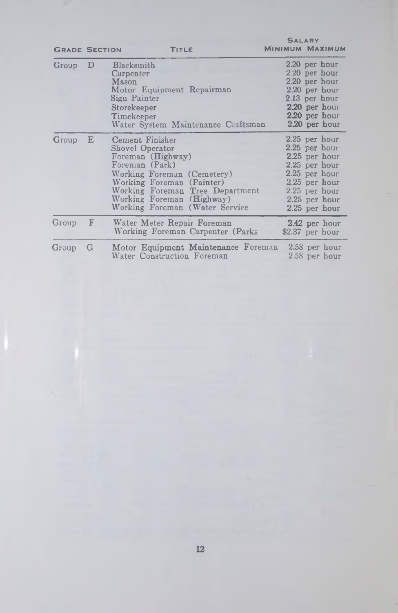| <b>GRADE SECTION</b> |             | TITLE                                                                                                                                                                                                                                  | <b>MINIMUM MAXIMUM</b>                                                                                                                                      |
|----------------------|-------------|----------------------------------------------------------------------------------------------------------------------------------------------------------------------------------------------------------------------------------------|-------------------------------------------------------------------------------------------------------------------------------------------------------------|
| $Group$ $D$          |             | Blacksmith<br>Carpenter<br>Mason<br>Motor Equipment Repairman<br>Sign Painter<br>Storekeeper<br>Timekeeper<br>Water System Maintenance Craftsman                                                                                       | 2.20 per hour<br>2.20 per hour<br>2.20 per hour<br>2.20 per hour<br>2.13 per hour<br>$2.20$ per hour<br>2.20 per hour<br>2.20 per hour                      |
| Group                | E           | Cement Finisher<br>Shovel Operator<br>Foreman (Highway)<br>Foreman (Park)<br>Working Foreman (Cemetery)<br>Working Foreman (Painter)<br>Working Foreman Tree Department<br>Working Foreman (Highway)<br>Working Foreman (Water Service | 2.25 per hour<br>$2.25$ per hour<br>2.25 per hour<br>$2.25$ per hour<br>2.25 per hour<br>$2.25$ per hour<br>2.25 per hour<br>2.25 per hour<br>2.25 per hour |
| Group                | $\mathbf F$ | Water Meter Repair Foreman<br>Working Foreman Carpenter (Parks)                                                                                                                                                                        | 2.42 per hour<br>\$2.37 per hour                                                                                                                            |
| Group                | G           | Motor Equipment Maintenance Foreman<br>Water Construction Foreman                                                                                                                                                                      | 2.58 per hour<br>2.58 per hour                                                                                                                              |

 $S$  a l a  $D'$